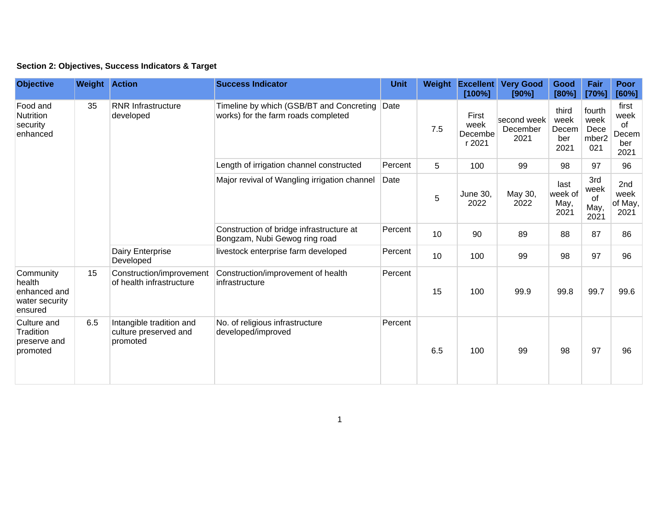## **Section 2: Objectives, Success Indicators & Target**

| <b>Objective</b>                                                 | <b>Weight Action</b> |                                                               | <b>Success Indicator</b>                                                        | <b>Unit</b> | Weight | <b>Excellent</b><br>[100%]         | <b>Very Good</b><br>[90%]       | Good<br>[80%]                         | Fair<br>[70%]                          | <b>Poor</b><br>[60%]                        |
|------------------------------------------------------------------|----------------------|---------------------------------------------------------------|---------------------------------------------------------------------------------|-------------|--------|------------------------------------|---------------------------------|---------------------------------------|----------------------------------------|---------------------------------------------|
| Food and<br>Nutrition<br>security<br>enhanced                    | 35                   | <b>RNR Infrastructure</b><br>developed                        | Timeline by which (GSB/BT and Concreting<br>works) for the farm roads completed | Date        | 7.5    | First<br>week<br>Decembe<br>r 2021 | second week<br>December<br>2021 | third<br>week<br>Decem<br>ber<br>2021 | fourth<br>week<br>Dece<br>mber2<br>021 | first<br>week<br>of<br>Decem<br>ber<br>2021 |
|                                                                  |                      |                                                               | Length of irrigation channel constructed                                        | Percent     | 5      | 100                                | 99                              | 98                                    | 97                                     | 96                                          |
|                                                                  |                      |                                                               | Major revival of Wangling irrigation channel                                    | Date        | 5      | <b>June 30,</b><br>2022            | May 30,<br>2022                 | last<br>week of<br>May,<br>2021       | 3rd<br>week<br>of<br>May,<br>2021      | 2nd<br>week<br>of May,<br>2021              |
|                                                                  |                      |                                                               | Construction of bridge infrastructure at<br>Bongzam, Nubi Gewog ring road       | Percent     | 10     | 90                                 | 89                              | 88                                    | 87                                     | 86                                          |
|                                                                  |                      | Dairy Enterprise<br>Developed                                 | livestock enterprise farm developed                                             | Percent     | 10     | 100                                | 99                              | 98                                    | 97                                     | 96                                          |
| Community<br>health<br>enhanced and<br>water security<br>ensured | 15                   | Construction/improvement<br>of health infrastructure          | Construction/improvement of health<br>infrastructure                            | Percent     | 15     | 100                                | 99.9                            | 99.8                                  | 99.7                                   | 99.6                                        |
| Culture and<br>Tradition<br>preserve and<br>promoted             | 6.5                  | Intangible tradition and<br>culture preserved and<br>promoted | No. of religious infrastructure<br>developed/improved                           | Percent     | 6.5    | 100                                | 99                              | 98                                    | 97                                     | 96                                          |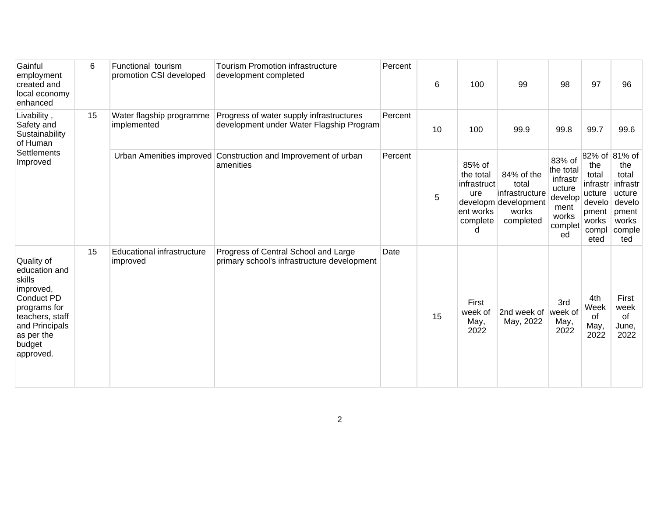| Gainful<br>employment<br>created and<br>local economy<br>enhanced                                                                                          | 6  | Functional tourism<br>promotion CSI developed | <b>Tourism Promotion infrastructure</b><br>development completed                     | Percent | 6  | 100                                                                     | 99                                                                                  | 98                                                                                     | 97                                                                              | 96                                                                                               |
|------------------------------------------------------------------------------------------------------------------------------------------------------------|----|-----------------------------------------------|--------------------------------------------------------------------------------------|---------|----|-------------------------------------------------------------------------|-------------------------------------------------------------------------------------|----------------------------------------------------------------------------------------|---------------------------------------------------------------------------------|--------------------------------------------------------------------------------------------------|
| Livability,<br>Safety and<br>Sustainability<br>of Human<br><b>Settlements</b><br>Improved                                                                  | 15 | Water flagship programme<br>implemented       | Progress of water supply infrastructures<br>development under Water Flagship Program | Percent | 10 | 100                                                                     | 99.9                                                                                | 99.8                                                                                   | 99.7                                                                            | 99.6                                                                                             |
|                                                                                                                                                            |    |                                               | Urban Amenities improved Construction and Improvement of urban<br>amenities          | Percent | 5  | 85% of<br>the total<br>infrastruct<br>ure<br>ent works<br>complete<br>d | 84% of the<br>total<br>infrastructure<br>developm development<br>works<br>completed | 83% of<br>the total<br>infrastr<br>ucture<br>develop<br>ment<br>works<br>complet<br>ed | the<br>total<br>infrastr<br>ucture<br>develo<br>pment<br>works<br>compl<br>eted | 82% of 81% of<br>the<br>total<br>infrastr<br>ucture<br>develo<br>pment<br>works<br>comple<br>ted |
| Quality of<br>education and<br>skills<br>improved,<br>Conduct PD<br>programs for<br>teachers, staff<br>and Principals<br>as per the<br>budget<br>approved. | 15 | Educational infrastructure<br>improved        | Progress of Central School and Large<br>primary school's infrastructure development  | Date    | 15 | First<br>week of<br>May,<br>2022                                        | 2nd week of<br>May, 2022                                                            | 3rd<br>week of<br>May,<br>2022                                                         | 4th<br>Week<br>of<br>May,<br>2022                                               | First<br>week<br>of<br>June,<br>2022                                                             |